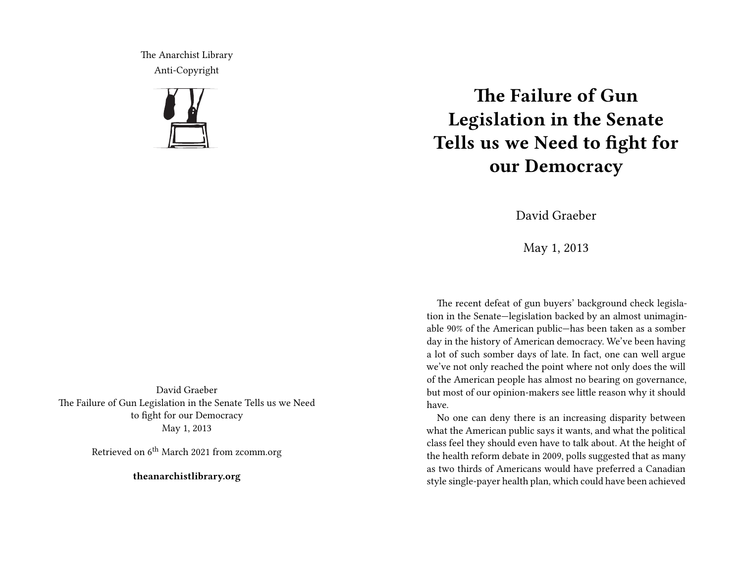The Anarchist Library Anti-Copyright



## **The Failure of Gun Legislation in the Senate Tells us we Need to fight for our Democracy**

David Graeber

May 1, 2013

The recent defeat of gun buyers' background check legislation in the Senate—legislation backed by an almost unimaginable 90% of the American public—has been taken as a somber day in the history of American democracy. We've been having a lot of such somber days of late. In fact, one can well argue we've not only reached the point where not only does the will of the American people has almost no bearing on governance, but most of our opinion-makers see little reason why it should have.

No one can deny there is an increasing disparity between what the American public says it wants, and what the political class feel they should even have to talk about. At the height of the health reform debate in 2009, polls suggested that as many as two thirds of Americans would have preferred a Canadian style single-payer health plan, which could have been achieved

David Graeber The Failure of Gun Legislation in the Senate Tells us we Need to fight for our Democracy May 1, 2013

Retrieved on 6<sup>th</sup> March 2021 from zcomm.org

**theanarchistlibrary.org**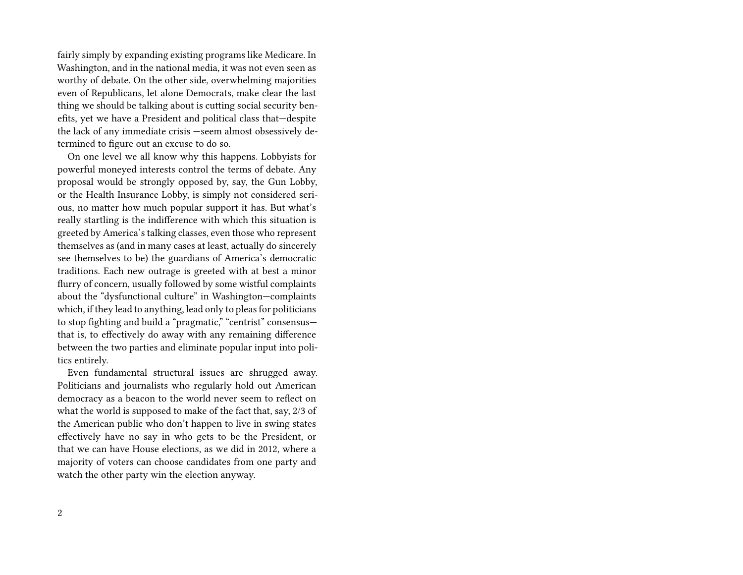fairly simply by expanding existing programs like Medicare. In Washington, and in the national media, it was not even seen as worthy of debate. On the other side, overwhelming majorities even of Republicans, let alone Democrats, make clear the last thing we should be talking about is cutting social security benefits, yet we have a President and political class that—despite the lack of any immediate crisis —seem almost obsessively determined to figure out an excuse to do so.

On one level we all know why this happens. Lobbyists for powerful moneyed interests control the terms of debate. Any proposal would be strongly opposed by, say, the Gun Lobby, or the Health Insurance Lobby, is simply not considered serious, no matter how much popular support it has. But what's really startling is the indifference with which this situation is greeted by America's talking classes, even those who represent themselves as (and in many cases at least, actually do sincerely see themselves to be) the guardians of America's democratic traditions. Each new outrage is greeted with at best a minor flurry of concern, usually followed by some wistful complaints about the "dysfunctional culture" in Washington—complaints which, if they lead to anything, lead only to pleas for politicians to stop fighting and build a "pragmatic," "centrist" consensus that is, to effectively do away with any remaining difference between the two parties and eliminate popular input into politics entirely.

Even fundamental structural issues are shrugged away. Politicians and journalists who regularly hold out American democracy as a beacon to the world never seem to reflect on what the world is supposed to make of the fact that, say, 2/3 of the American public who don't happen to live in swing states effectively have no say in who gets to be the President, or that we can have House elections, as we did in 2012, where a majority of voters can choose candidates from one party and watch the other party win the election anyway.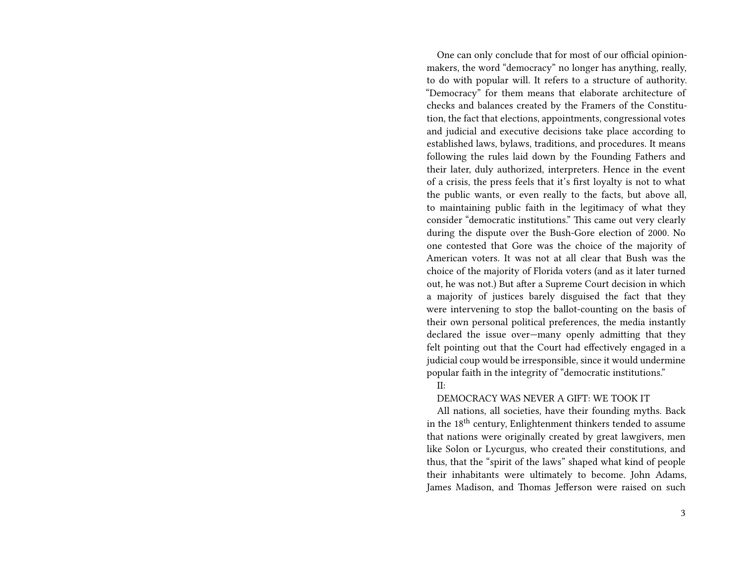One can only conclude that for most of our official opinionmakers, the word "democracy" no longer has anything, really, to do with popular will. It refers to a structure of authority. "Democracy" for them means that elaborate architecture of checks and balances created by the Framers of the Constitution, the fact that elections, appointments, congressional votes and judicial and executive decisions take place according to established laws, bylaws, traditions, and procedures. It means following the rules laid down by the Founding Fathers and their later, duly authorized, interpreters. Hence in the event of a crisis, the press feels that it's first loyalty is not to what the public wants, or even really to the facts, but above all, to maintaining public faith in the legitimacy of what they consider "democratic institutions." This came out very clearly during the dispute over the Bush-Gore election of 2000. No one contested that Gore was the choice of the majority of American voters. It was not at all clear that Bush was the choice of the majority of Florida voters (and as it later turned out, he was not.) But after a Supreme Court decision in which a majority of justices barely disguised the fact that they were intervening to stop the ballot-counting on the basis of their own personal political preferences, the media instantly declared the issue over—many openly admitting that they felt pointing out that the Court had effectively engaged in a judicial coup would be irresponsible, since it would undermine popular faith in the integrity of "democratic institutions."

II:

## DEMOCRACY WAS NEVER A GIFT: WE TOOK IT

All nations, all societies, have their founding myths. Back in the  $18<sup>th</sup>$  century, Enlightenment thinkers tended to assume that nations were originally created by great lawgivers, men like Solon or Lycurgus, who created their constitutions, and thus, that the "spirit of the laws" shaped what kind of people their inhabitants were ultimately to become. John Adams, James Madison, and Thomas Jefferson were raised on such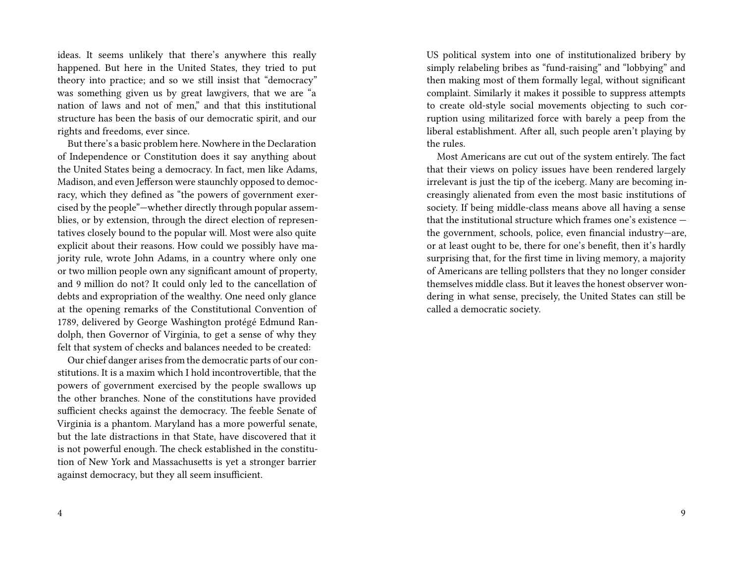ideas. It seems unlikely that there's anywhere this really happened. But here in the United States, they tried to put theory into practice; and so we still insist that "democracy" was something given us by great lawgivers, that we are "a nation of laws and not of men," and that this institutional structure has been the basis of our democratic spirit, and our rights and freedoms, ever since.

But there's a basic problem here. Nowhere in the Declaration of Independence or Constitution does it say anything about the United States being a democracy. In fact, men like Adams, Madison, and even Jefferson were staunchly opposed to democracy, which they defined as "the powers of government exercised by the people"—whether directly through popular assemblies, or by extension, through the direct election of representatives closely bound to the popular will. Most were also quite explicit about their reasons. How could we possibly have majority rule, wrote John Adams, in a country where only one or two million people own any significant amount of property, and 9 million do not? It could only led to the cancellation of debts and expropriation of the wealthy. One need only glance at the opening remarks of the Constitutional Convention of 1789, delivered by George Washington protégé Edmund Randolph, then Governor of Virginia, to get a sense of why they felt that system of checks and balances needed to be created:

Our chief danger arises from the democratic parts of our constitutions. It is a maxim which I hold incontrovertible, that the powers of government exercised by the people swallows up the other branches. None of the constitutions have provided sufficient checks against the democracy. The feeble Senate of Virginia is a phantom. Maryland has a more powerful senate, but the late distractions in that State, have discovered that it is not powerful enough. The check established in the constitution of New York and Massachusetts is yet a stronger barrier against democracy, but they all seem insufficient.

US political system into one of institutionalized bribery by simply relabeling bribes as "fund-raising" and "lobbying" and then making most of them formally legal, without significant complaint. Similarly it makes it possible to suppress attempts to create old-style social movements objecting to such corruption using militarized force with barely a peep from the liberal establishment. After all, such people aren't playing by the rules.

Most Americans are cut out of the system entirely. The fact that their views on policy issues have been rendered largely irrelevant is just the tip of the iceberg. Many are becoming increasingly alienated from even the most basic institutions of society. If being middle-class means above all having a sense that the institutional structure which frames one's existence the government, schools, police, even financial industry—are, or at least ought to be, there for one's benefit, then it's hardly surprising that, for the first time in living memory, a majority of Americans are telling pollsters that they no longer consider themselves middle class. But it leaves the honest observer wondering in what sense, precisely, the United States can still be called a democratic society.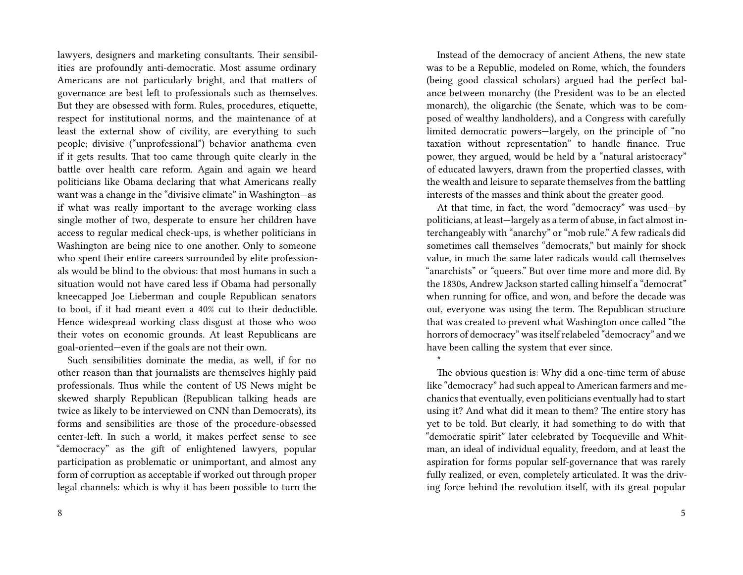lawyers, designers and marketing consultants. Their sensibilities are profoundly anti-democratic. Most assume ordinary Americans are not particularly bright, and that matters of governance are best left to professionals such as themselves. But they are obsessed with form. Rules, procedures, etiquette, respect for institutional norms, and the maintenance of at least the external show of civility, are everything to such people; divisive ("unprofessional") behavior anathema even if it gets results. That too came through quite clearly in the battle over health care reform. Again and again we heard politicians like Obama declaring that what Americans really want was a change in the "divisive climate" in Washington—as if what was really important to the average working class single mother of two, desperate to ensure her children have access to regular medical check-ups, is whether politicians in Washington are being nice to one another. Only to someone who spent their entire careers surrounded by elite professionals would be blind to the obvious: that most humans in such a situation would not have cared less if Obama had personally kneecapped Joe Lieberman and couple Republican senators to boot, if it had meant even a 40% cut to their deductible. Hence widespread working class disgust at those who woo their votes on economic grounds. At least Republicans are goal-oriented—even if the goals are not their own.

Such sensibilities dominate the media, as well, if for no other reason than that journalists are themselves highly paid professionals. Thus while the content of US News might be skewed sharply Republican (Republican talking heads are twice as likely to be interviewed on CNN than Democrats), its forms and sensibilities are those of the procedure-obsessed center-left. In such a world, it makes perfect sense to see "democracy" as the gift of enlightened lawyers, popular participation as problematic or unimportant, and almost any form of corruption as acceptable if worked out through proper legal channels: which is why it has been possible to turn the

8

Instead of the democracy of ancient Athens, the new state was to be a Republic, modeled on Rome, which, the founders (being good classical scholars) argued had the perfect balance between monarchy (the President was to be an elected monarch), the oligarchic (the Senate, which was to be composed of wealthy landholders), and a Congress with carefully limited democratic powers—largely, on the principle of "no taxation without representation" to handle finance. True power, they argued, would be held by a "natural aristocracy" of educated lawyers, drawn from the propertied classes, with the wealth and leisure to separate themselves from the battling interests of the masses and think about the greater good.

At that time, in fact, the word "democracy" was used—by politicians, at least—largely as a term of abuse, in fact almost interchangeably with "anarchy" or "mob rule." A few radicals did sometimes call themselves "democrats," but mainly for shock value, in much the same later radicals would call themselves "anarchists" or "queers." But over time more and more did. By the 1830s, Andrew Jackson started calling himself a "democrat" when running for office, and won, and before the decade was out, everyone was using the term. The Republican structure that was created to prevent what Washington once called "the horrors of democracy" was itself relabeled "democracy" and we have been calling the system that ever since.

The obvious question is: Why did a one-time term of abuse like "democracy" had such appeal to American farmers and mechanics that eventually, even politicians eventually had to start using it? And what did it mean to them? The entire story has yet to be told. But clearly, it had something to do with that "democratic spirit" later celebrated by Tocqueville and Whitman, an ideal of individual equality, freedom, and at least the aspiration for forms popular self-governance that was rarely fully realized, or even, completely articulated. It was the driving force behind the revolution itself, with its great popular

\*